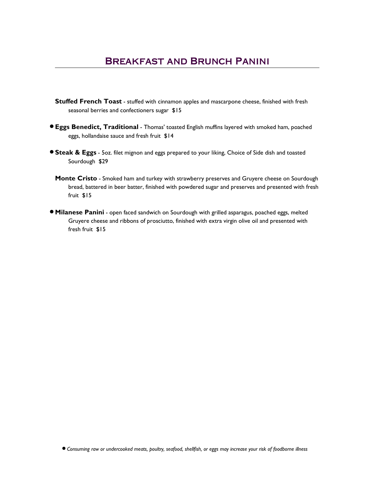- **Stuffed French Toast** stuffed with cinnamon apples and mascarpone cheese, finished with fresh seasonal berries and confectioners sugar \$15
- **Eggs Benedict, Traditional** Thomas' toasted English muffins layered with smoked ham, poached eggs, hollandaise sauce and fresh fruit \$14
- **Steak & Eggs** 5oz. filet mignon and eggs prepared to your liking, Choice of Side dish and toasted Sourdough \$29
	- Monte Cristo Smoked ham and turkey with strawberry preserves and Gruyere cheese on Sourdough bread, battered in beer batter, finished with powdered sugar and preserves and presented with fresh fruit \$15
- **Milanese Panini** open faced sandwich on Sourdough with grilled asparagus, poached eggs, melted Gruyere cheese and ribbons of prosciutto, finished with extra virgin olive oil and presented with fresh fruit \$15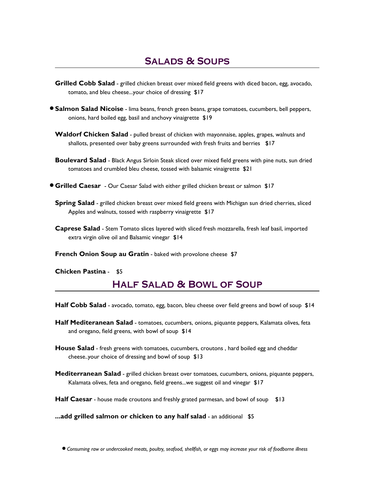- Grilled Cobb Salad grilled chicken breast over mixed field greens with diced bacon, egg, avocado, tomato, and bleu cheese...your choice of dressing \$17
- **Salmon Salad Nicoise** lima beans, french green beans, grape tomatoes, cucumbers, bell peppers, onions, hard boiled egg, basil and anchovy vinaigrette \$19
	- Waldorf Chicken Salad pulled breast of chicken with mayonnaise, apples, grapes, walnuts and shallots, presented over baby greens surrounded with fresh fruits and berries \$17
	- **Boulevard Salad** Black Angus Sirloin Steak sliced over mixed field greens with pine nuts, sun dried tomatoes and crumbled bleu cheese, tossed with balsamic vinaigrette \$21
- **Grilled Caesar** Our Caesar Salad with either grilled chicken breast or salmon \$17
	- **Spring Salad** grilled chicken breast over mixed field greens with Michigan sun dried cherries, sliced Apples and walnuts, tossed with raspberry vinaigrette \$17
	- Caprese Salad Stem Tomato slices layered with sliced fresh mozzarella, fresh leaf basil, imported extra virgin olive oil and Balsamic vinegar \$14
	- French Onion Soup au Gratin baked with provolone cheese \$7

Chicken Pastina - \$5

## **HALF SALAD & BOWL OF SOUP**

Half Cobb Salad - avocado, tomato, egg, bacon, bleu cheese over field greens and bowl of soup \$14

- Half Mediteranean Salad tomatoes, cucumbers, onions, piquante peppers, Kalamata olives, feta and oregano, field greens, with bowl of soup \$14
- **House Salad** fresh greens with tomatoes, cucumbers, croutons, hard boiled egg and cheddar cheese..your choice of dressing and bowl of soup \$13
- Mediterranean Salad grilled chicken breast over tomatoes, cucumbers, onions, piquante peppers, Kalamata olives, feta and oregano, field greens...we suggest oil and vinegar \$17
- Half Caesar house made croutons and freshly grated parmesan, and bowl of soup \$13

...add grilled salmon or chicken to any half salad - an additional \$5

o Consuming raw or undercooked meats, poultry, seafood, shellfish, or eggs may increase your risk of foodborne illness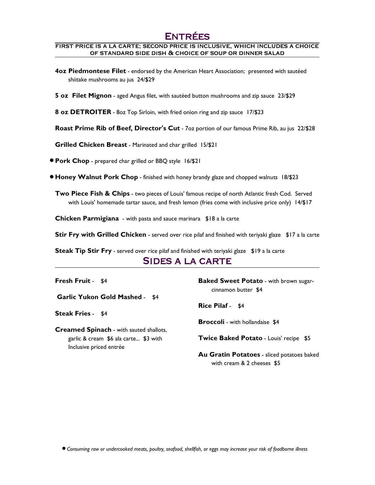# **ENTRÉES**

#### FIRST PRICE IS A LA CARTE; SECOND PRICE IS INCLUSIVE, WHICH INCLUDES A CHOICE OF STANDARD SIDE DISH & CHOICE OF SOUP OR DINNER SALAD

- **4oz Piedmontese Filet** endorsed by the American Heart Association; presented with sautéed shiitake mushrooms au jus 24/\$29
- 5 oz Filet Mignon aged Angus filet, with sautéed button mushrooms and zip sauce 23/\$29

8 oz DETROITER - 80z Top Sirloin, with fried onion ring and zip sauce 17/\$23

Roast Prime Rib of Beef, Director's Cut - 7oz portion of our famous Prime Rib, au jus 22/\$28

Grilled Chicken Breast - Marinated and char grilled 15/\$21

**• Pork Chop** - prepared char grilled or BBQ style 16/\$21

**• Honey Walnut Pork Chop** - finished with honey brandy glaze and chopped walnuts 18/\$23

**Two Piece Fish & Chips** - two pieces of Louis' famous recipe of north Atlantic fresh Cod. Served with Louis' homemade tartar sauce, and fresh lemon (fries come with inclusive price only) 14/\$17

Chicken Parmigiana - with pasta and sauce marinara \$18 a la carte

Stir Fry with Grilled Chicken - served over rice pilaf and finished with teriyaki glaze \$17 a la carte

Steak Tip Stir Fry - served over rice pilaf and finished with teriyaki glaze \$19 a la carte

#### SIDES A LA CARTE

Garlic Yukon Gold Mashed - \$4

Steak Fries - \$4

Creamed Spinach - with sauted shallots, garlic & cream \$6 ala carte... \$3 with Inclusive priced entrée

**Fresh Fruit - \$4** Baked Sweet Potato - with brown sugarcinnamon butter \$4

Rice Pilaf - \$4

**Broccoli** - with hollandaise \$4

Twice Baked Potato - Louis' recipe \$5

Au Gratin Potatoes - sliced potatoes baked with cream & 2 cheeses \$5